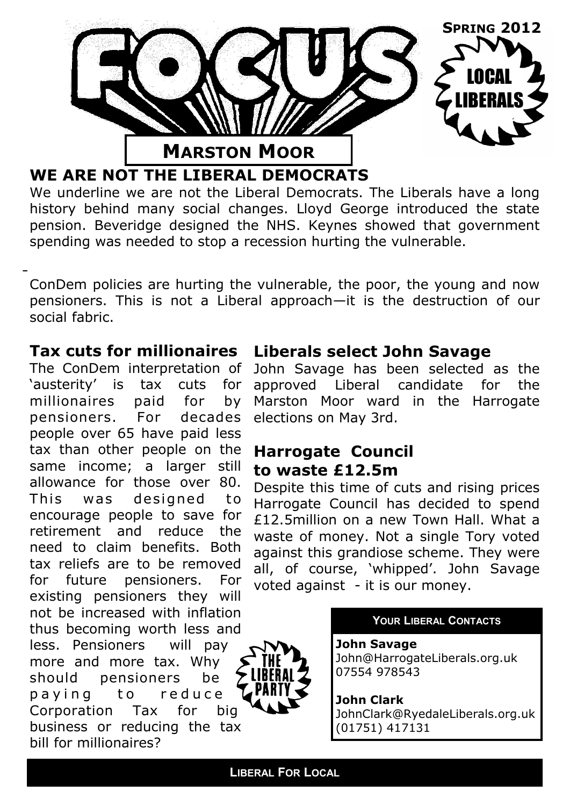

**WE ARE NOT THE LIBERAL DEMOCRATS**

We underline we are not the Liberal Democrats. The Liberals have a long history behind many social changes. Lloyd George introduced the state pension. Beveridge designed the NHS. Keynes showed that government spending was needed to stop a recession hurting the vulnerable.

ConDem policies are hurting the vulnerable, the poor, the young and now pensioners. This is not a Liberal approach—it is the destruction of our social fabric.

#### **Tax cuts for millionaires**

The ConDem interpretation of 'austerity' is tax cuts for millionaires paid for by pensioners. For decades people over 65 have paid less tax than other people on the same income; a larger still allowance for those over 80. This was designed to encourage people to save for retirement and reduce the need to claim benefits. Both tax reliefs are to be removed for future pensioners. For existing pensioners they will not be increased with inflation thus becoming worth less and less. Pensioners will pay more and more tax. Why should pensioners be paying to reduce Corporation Tax for big business or reducing the tax bill for millionaires?

#### **Liberals select John Savage**

John Savage has been selected as the approved Liberal candidate for the Marston Moor ward in the Harrogate elections on May 3rd.

#### **Harrogate Council to waste £12.5m**

Despite this time of cuts and rising prices Harrogate Council has decided to spend £12.5million on a new Town Hall. What a waste of money. Not a single Tory voted against this grandiose scheme. They were all, of course, 'whipped'. John Savage voted against - it is our money.

#### **YOUR LIBERAL CONTACTS**

**John Savage** John@HarrogateLiberals.org.uk 07554 978543

## **John Clark**

JohnClark@RyedaleLiberals.org.uk (01751) 417131